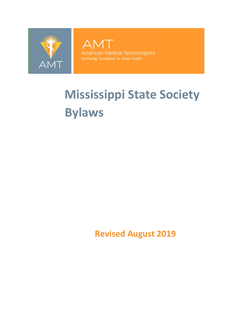

# **Mississippi State Society Bylaws**

**Revised August 2019**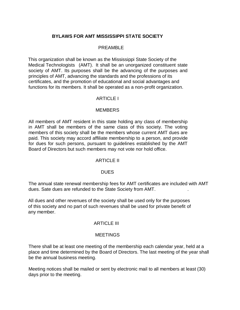## **BYLAWS FOR AMT MISSISSIPPI STATE SOCIETY**

## PREAMBLE

This organization shall be known as the Mississippi State Society of the Medical Technologists (AMT). It shall be an unorganized constituent state society of AMT. Its purposes shall be the advancing of the purposes and principles of AMT, advancing the standards and the professions of its certificates, and the promotion of educational and social advantages and functions for its members. It shall be operated as a non-profit organization.

#### ARTICLE I

#### MEMBERS

All members of AMT resident in this state holding any class of membership in AMT shall be members of the same class of this society. The voting members of this society shall be the members whose current AMT dues are paid. This society may accord affiliate membership to a person, and provide for dues for such persons, pursuant to guidelines established by the AMT Board of Directors but such members may not vote nor hold office.

#### **ARTICLE II**

#### **DUES**

The annual state renewal membership fees for AMT certificates are included with AMT dues. Sate dues are refunded to the State Society from AMT. .

All dues and other revenues of the society shall be used only for the purposes of this society and no part of such revenues shall be used for private benefit of any member.

#### **ARTICLE III**

#### **MEETINGS**

There shall be at least one meeting of the membership each calendar year, held at a place and time determined by the Board of Directors. The last meeting of the year shall be the annual business meeting.

Meeting notices shall be mailed or sent by electronic mail to all members at least (30) days prior to the meeting.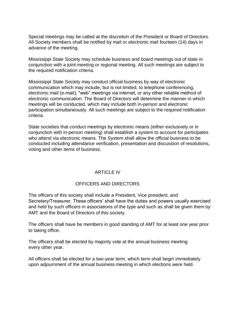Special meetings may be called at the discretion of the President or Board of Directors. All Society members shall be notified by mail or electronic mail fourteen (14) days in advance of the meeting.

Mississippi State Society may schedule business and board meetings out of state in conjunction with a joint meeting or regional meeting. All such meetings are subject to the required notification criteria.

Mississippi State Society may conduct official business by way of electronic communication which may include, but is not limited, to telephone conferencing, electronic mail (e-mail), "web" meetings via internet, or any other reliable method of electronic communication. The Board of Directors will determine the manner in which meetings will be conducted, which may include both in-person and electronic participation simultaneously. All such meetings are subject to the required notification criteria.

State societies that conduct meetings by electronic means (either exclusively or in conjunction with in-person meeting) shall establish a system to account for participates who attend via electronic means. The System shall allow the official business to be conducted including attendance verification, presentation and discussion of resolutions, voting and other items of business.

## ARTICLE IV

## OFFICERS AND DIRECTORS

The officers of this society shall include a President, Vice president, and Secretary/Treasurer. These officers' shall have the duties and powers usually exercised and held by such officers in associations of the type and such as shall be given them by AMT and the Board of Directors of this society.

The officers shall have be members in good standing of AMT for at least one year prior to taking office.

The officers shall be elected by majority vote at the annual business meeting every other year.

All officers shall be elected for a two-year term, which term shall begin immediately upon adjournment of the annual business meeting in which elections were held.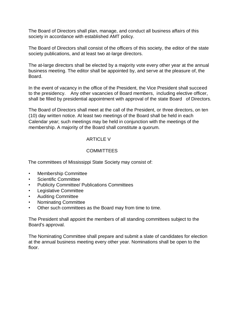The Board of Directors shall plan, manage, and conduct all business affairs of this society in accordance with established AMT policy.

The Board of Directors shall consist of the officers of this society, the editor of the state society publications, and at least two at-large directors.

The at-large directors shall be elected by a majority vote every other year at the annual business meeting. The editor shall be appointed by, and serve at the pleasure of, the Board.

In the event of vacancy in the office of the President, the Vice President shall succeed to the presidency. Any other vacancies of Board members, including elective officer, shall be filled by presidential appointment with approval of the state Board of Directors.

The Board of Directors shall meet at the call of the President, or three directors, on ten (10) day written notice. At least two meetings of the Board shall be held in each Calendar year; such meetings may be held in conjunction with the meetings of the membership. A majority of the Board shall constitute a quorum.

# **ARTICLE V**

# **COMMITTEES**

The committees of Mississippi State Society may consist of:

- Membership Committee
- Scientific Committee
- Publicity Committee/ Publications Committees
- Legislative Committee
- Auditing Committee
- Nominating Committee
- Other such committees as the Board may from time to time.

The President shall appoint the members of all standing committees subject to the Board's approval.

The Nominating Committee shall prepare and submit a slate of candidates for election at the annual business meeting every other year. Nominations shall be open to the floor.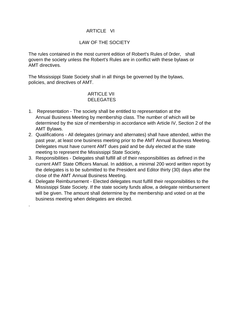#### ARTICLE VI

## LAW OF THE SOCIETY

The rules contained in the most current edition of Robert's Rules of 0rder, shall govern the society unless the Robert's Rules are in conflict with these bylaws or AMT directives.

The Mississippi State Society shall in all things be governed by the bylaws, policies, and directives of AMT.

## ARTICLE VII DELEGATES

- 1. Representation The society shall be entitled to representation at the Annual Business Meeting by membership class. The number of which will be determined by the size of membership in accordance with Article IV, Section 2 of the AMT Bylaws.
- 2. Qualifications All delegates (primary and alternates) shall have attended, within the past year, at least one business meeting prior to the AMT Annual Business Meeting. Delegates must have current AMT dues paid and be duly elected at the state meeting to represent the Mississippi State Society.
- 3. Responsibilities Delegates shall fulfill all of their responsibilities as defined in the current AMT State Officers Manual. In addition, a minimal 200 word written report by the delegates is to be submitted to the President and Editor thirty (30) days after the close of the AMT Annual Business Meeting.
- 4. Delegate Reimbursement Elected delegates must fulfill their responsibilities to the Mississippi State Society. If the state society funds allow, a delegate reimbursement will be given. The amount shall determine by the membership and voted on at the business meeting when delegates are elected.

.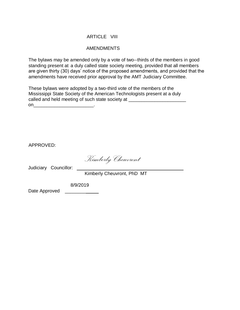## ARTICLE VIII

#### AMENDMENTS

The bylaws may be amended only by a vote of two-‐thirds of the members in good standing present at a duly called state society meeting, provided that all members are given thirty (30) days' notice of the proposed amendments, and provided that the amendments have received prior approval by the AMT Judiciary Committee.

These bylaws were adopted by a two-third vote of the members of the Mississippi State Society of the American Technologists present at a duly called and held meeting of such state society at \_\_\_\_\_\_\_\_\_\_\_\_\_\_\_\_\_\_\_\_\_\_\_\_\_\_\_\_\_\_\_ on\_\_\_\_\_\_\_\_\_\_\_\_\_\_\_\_\_\_\_\_\_\_\_.

APPROVED:

*Kimberly Cheuvront*

Judiciary Councillor:

Kimberly Cheuvront, PhD MT

8/9/2019

Date Approved \_\_\_\_\_\_\_\_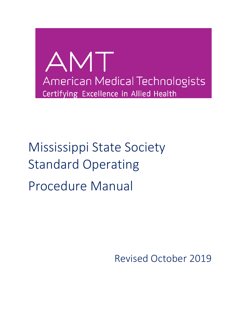

Mississippi State Society Standard Operating Procedure Manual

Revised October 2019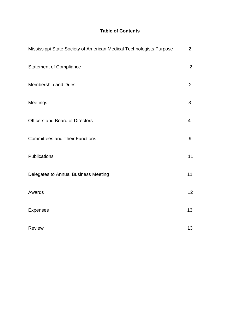# **Table of Contents**

| Mississippi State Society of American Medical Technologists Purpose | $\overline{2}$  |
|---------------------------------------------------------------------|-----------------|
| <b>Statement of Compliance</b>                                      | 2               |
| Membership and Dues                                                 | $\overline{2}$  |
| Meetings                                                            | 3               |
| <b>Officers and Board of Directors</b>                              | $\overline{4}$  |
| <b>Committees and Their Functions</b>                               | 9               |
| Publications                                                        | 11              |
| Delegates to Annual Business Meeting                                | 11              |
| Awards                                                              | 12 <sub>2</sub> |
| <b>Expenses</b>                                                     | 13              |
| <b>Review</b>                                                       | 13              |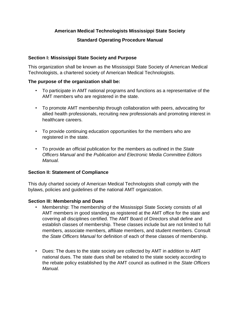# **American Medical Technologists Mississippi State Society**

# **Standard Operating Procedure Manual**

## **Section I: Mississippi State Society and Purpose**

This organization shall be known as the Mississippi State Society of American Medical Technologists, a chartered society of American Medical Technologists.

## **The purpose of the organization shall be:**

- To participate in AMT national programs and functions as a representative of the AMT members who are registered in the state.
- To promote AMT membership through collaboration with peers, advocating for allied health professionals, recruiting new professionals and promoting interest in healthcare careers.
- To provide continuing education opportunities for the members who are registered in the state.
- To provide an official publication for the members as outlined in the *State Officers Manual* and the *Publication and Electronic Media Committee Editors Manual.*

## **Section II: Statement of Compliance**

This duly charted society of American Medical Technologists shall comply with the bylaws, policies and guidelines of the national AMT organization.

## **Section III: Membership and Dues**

- Membership: The membership of the Mississippi State Society consists of all AMT members in good standing as registered at the AMT office for the state and covering all disciplines certified. The AMT Board of Directors shall define and establish classes of membership. These classes include but are not limited to full members, associate members, affiliate members, and student members. Consult the *State Officers Manual* for definition of each of these classes of membership.
- Dues: The dues to the state society are collected by AMT in addition to AMT national dues. The state dues shall be rebated to the state society according to the rebate policy established by the AMT council as outlined in the *State Officers Manual.*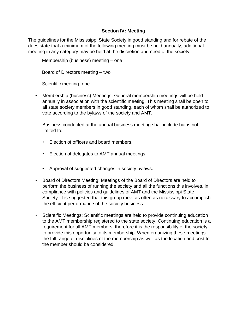## **Section IV: Meeting**

The guidelines for the Mississippi State Society in good standing and for rebate of the dues state that a minimum of the following meeting must be held annually, additional meeting in any category may be held at the discretion and need of the society.

Membership (business) meeting – one

Board of Directors meeting – two

Scientific meeting- one

• Membership (business) Meetings: General membership meetings will be held annually in association with the scientific meeting. This meeting shall be open to all state society members in good standing, each of whom shall be authorized to vote according to the bylaws of the society and AMT.

Business conducted at the annual business meeting shall include but is not limited to:

- Election of officers and board members.
- Election of delegates to AMT annual meetings.
- Approval of suggested changes in society bylaws.
- Board of Directors Meeting: Meetings of the Board of Directors are held to perform the business of running the society and all the functions this involves, in compliance with policies and guidelines of AMT and the Mississippi State Society. It is suggested that this group meet as often as necessary to accomplish the efficient performance of the society business.
- Scientific Meetings: Scientific meetings are held to provide continuing education to the AMT membership registered to the state society. Continuing education is a requirement for all AMT members, therefore it is the responsibility of the society to provide this opportunity to its membership. When organizing these meetings the full range of disciplines of the membership as well as the location and cost to the member should be considered.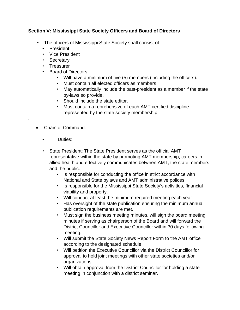## **Section V: Mississippi State Society Officers and Board of Directors**

- The officers of Mississippi State Society shall consist of:
	- President
	- Vice President
	- Secretary
	- Treasurer
	- Board of Directors
		- Will have a minimum of five (5) members (including the officers).
		- Must contain all elected officers as members
		- May automatically include the past-president as a member if the state by-laws so provide.
		- Should include the state editor.
		- Must contain a reprehensive of each AMT certified discipline represented by the state society membership.
- Chain of Command:
	- Duties:

.

- State President: The State President serves as the official AMT representative within the state by promoting AMT membership, careers in allied health and effectively communicates between AMT, the state members and the public.
	- Is responsible for conducting the office in strict accordance with National and State bylaws and AMT administrative polices.
	- Is responsible for the Mississippi State Society's activities, financial viability and property.
	- Will conduct at least the minimum required meeting each year.
	- Has oversight of the state publication ensuring the minimum annual publication requirements are met.
	- Must sign the business meeting minutes, will sign the board meeting minutes if serving as chairperson of the Board and will forward the District Councillor and Executive Councillor within 30 days following meeting.
	- Will submit the State Society News Report Form to the AMT office according to the designated schedule.
	- Will petition the Executive Councillor via the District Councillor for approval to hold joint meetings with other state societies and/or organizations.
	- Will obtain approval from the District Councillor for holding a state meeting in conjunction with a district seminar.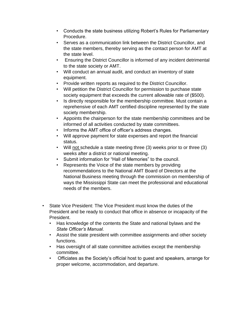- Conducts the state business utilizing Robert's Rules for Parliamentary Procedure.
- Serves as a communication link between the District Councillor, and the state members, thereby serving as the contact person for AMT at the state level.
- Ensuring the District Councillor is informed of any incident detrimental to the state society or AMT.
- Will conduct an annual audit, and conduct an inventory of state equipment.
- Provide written reports as required to the District Councillor.
- Will petition the District Councillor for permission to purchase state society equipment that exceeds the current allowable rate of (\$500).
- Is directly responsible for the membership committee. Must contain a reprehensive of each AMT certified discipline represented by the state society membership.
- Appoints the chairperson for the state membership committees and be informed of all activities conducted by state committees.
- Informs the AMT office of officer's address changes.
- Will approve payment for state expenses and report the financial status.
- Will not schedule a state meeting three (3) weeks prior to or three (3) weeks after a district or national meeting.
- Submit information for "Hall of Memories" to the council.
- Represents the Voice of the state members by providing recommendations to the National AMT Board of Directors at the National Business meeting through the commission on membership of ways the Mississippi State can meet the professional and educational needs of the members.
- State Vice President: The Vice President must know the duties of the President and be ready to conduct that office in absence or incapacity of the President.
	- Has knowledge of the contents the State and national bylaws and the *State Officer's Manual.*
	- Assist the state president with committee assignments and other society functions.
	- Has oversight of all state committee activities except the membership committee.
	- Officiates as the Society's official host to guest and speakers, arrange for proper welcome, accommodation, and departure.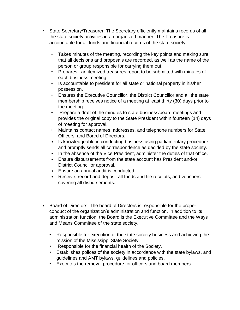- State Secretary/Treasurer: The Secretary efficiently maintains records of all the state society activities in an organized manner. The Treasure is accountable for all funds and financial records of the state society.
	- Takes minutes of the meeting, recording the key points and making sure that all decisions and proposals are recorded, as well as the name of the person or group responsible for carrying them out.
	- Prepares an itemized treasures report to be submitted with minutes of each business meeting.
	- Is accountable to president for all state or national property in his/her possession.
	- Ensures the Executive Councillor, the District Councillor and all the state membership receives notice of a meeting at least thirty (30) days prior to the meeting.
	- Prepare a draft of the minutes to state business/board meetings and provides the original copy to the State President within fourteen (14) days of meeting for approval.
	- Maintains contact names, addresses, and telephone numbers for State Officers, and Board of Directors.
	- Is knowledgeable in conducting business using parliamentary procedure and promptly sends all correspondence as decided by the state society.
	- In the absence of the Vice President, administer the duties of that office.
	- Ensure disbursements from the state account has President and/or District Councillor approval.
	- Ensure an annual audit is conducted.
	- Receive, record and deposit all funds and file receipts, and vouchers covering all disbursements.
- Board of Directors: The board of Directors is responsible for the proper conduct of the organization's administration and function. In addition to its administration function, the Board is the Executive Committee and the Ways and Means Committee of the state society.
	- Responsible for execution of the state society business and achieving the mission of the Mississippi State Society.
	- Responsible for the financial health of the Society.
	- Establishes polices of the society in accordance with the state bylaws, and guidelines and AMT bylaws, guidelines and policies.
	- Executes the removal procedure for officers and board members.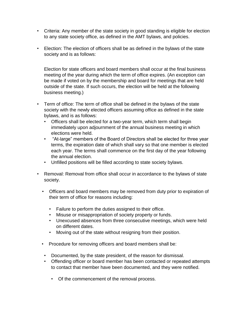- Criteria: Any member of the state society in good standing is eligible for election to any state society office, as defined in the AMT bylaws, and policies.
- Election: The election of officers shall be as defined in the bylaws of the state society and is as follows:

Election for state officers and board members shall occur at the final business meeting of the year during which the term of office expires. (An exception can be made if voted on by the membership and board for meetings that are held outside of the state. If such occurs, the election will be held at the following business meeting.)

- Term of office: The term of office shall be defined in the bylaws of the state society with the newly elected officers assuming office as defined in the state bylaws, and is as follows:
	- Officers shall be elected for a two-year term, which term shall begin immediately upon adjournment of the annual business meeting in which elections were held.
	- "At-large" members of the Board of Directors shall be elected for three year terms, the expiration date of which shall vary so that one member is elected each year. The terms shall commence on the first day of the year following the annual election.
	- Unfilled positions will be filled according to state society bylaws.
- Removal: Removal from office shall occur in accordance to the bylaws of state society.
	- Officers and board members may be removed from duty prior to expiration of their term of office for reasons including:
		- Failure to perform the duties assigned to their office.
		- Misuse or misappropriation of society property or funds.
		- Unexcused absences from three consecutive meetings, which were held on different dates.
		- Moving out of the state without resigning from their position.
	- Procedure for removing officers and board members shall be:
	- Documented, by the state president, of the reason for dismissal.
	- Offending officer or board member has been contacted or repeated attempts to contact that member have been documented, and they were notified.
		- Of the commencement of the removal process.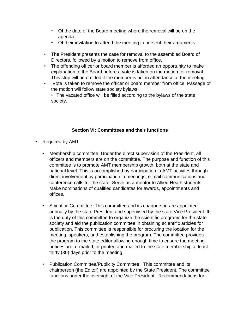- Of the date of the Board meeting where the removal will be on the agenda.
- Of their invitation to attend the meeting to present their arguments.
- The President presents the case for removal to the assembled Board of Directors, followed by a motion to remove from office.
- The offending officer or board member is afforded an opportunity to make explanation to the Board before a vote is taken on the motion for removal. This step will be omitted if the member is not in attendance at the meeting.
- Vote is taken to remove the officer or board member from office. Passage of the motion will follow state society bylaws.
	- The vacated office will be filled according to the bylaws of the state society.

## **Section VI: Committees and their functions**

- Required by AMT
	- Membership committee: Under the direct supervision of the President, all officers and members are on the committee. The purpose and function of this committee is to promote AMT membership growth, both at the state and national level. This is accomplished by participation in AMT activites through direct involvement by participation in meetings, e-mail communications and conference calls for the state. Serve as a mentor to Allied Heath students. Make nominations of qualified candidates for awards, appointments and offices.
	- Scientific Committee: This committee and its chairperson are appointed annually by the state President and supervised by the state Vice President. It is the duty of this committee to organize the scientific programs for the state society and aid the publication committee in obtaining scientific articles for publication. This committee is responsible for procuring the location for the meeting, speakers, and establishing the program. The committee provides the program to the state editor allowing enough time to ensure the meeting notices are e-mailed, or printed and mailed to the state membership at least thirty (30) days prior to the meeting.
	- Publication Committee/Publicity Committee: This committee and its chairperson (the Editor) are appointed by the State President. The committee functions under the oversight of the Vice President. Recommendations for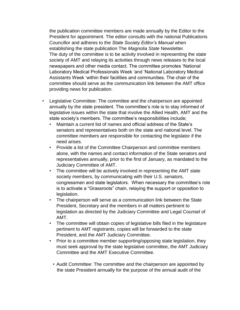the publication committee members are made annually by the Editor to the President for appointment. The editor consults with the national Publications Councillor and adheres to the *State Society Editor's Manual* when establishing the state publication The *Magnolia State* Newsletter. The duty of the committee is to be activity involved in representing the state society of AMT and relaying its activities through news releases to the local newspapers and other media contact. The committee promotes 'National Laboratory Medical Professionals Week 'and 'National Laboratory Medical Assistants Week 'within their facilities and communities. The chair of the committee should serve as the communication link between the AMT office providing news for publication.

- Legislative Committee: The committee and the chairperson are appointed annually by the state president. The committee's role is to stay informed of legislative issues within the state that involve the Allied Health, AMT and the state society's members. The committee's responsibilities include;
	- Maintain a current list of names and official address of the State's senators and representatives both on the state and national level. The committee members are responsible for contacting the legislator if the need arises.
	- Provide a list of the Committee Chairperson and committee members alone, with the names and contact information of the State senators and representatives annually, prior to the first of January, as mandated to the Judiciary Committee of AMT.
	- The committee will be actively involved in representing the AMT state society members, by communicating with their U.S. senators, congressmen and state legislators. When necessary the committee's role is to activate a "Grassroots" chain, relaying the support or opposition to legislation.
	- The chairperson will serve as a communication link between the State President, Secretary and the members in all matters pertinent to legislation as directed by the Judiciary Committee and Legal Counsel of AMT.
	- The committee will obtain copies of legislative bills filed in the legislature pertinent to AMT registrants, copies will be forwarded to the state President, and the AMT Judiciary Committee.
	- Prior to a committee member supporting/opposing state legislation, they must seek approval by the state legislative committee, the AMT Judiciary Committee and the AMT Executive Committee.
		- Audit Committee: The committee and the chairperson are appointed by the state President annually for the purpose of the annual audit of the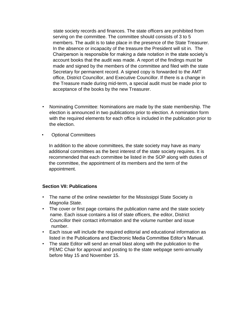state society records and finances. The state officers are prohibited from serving on the committee. The committee should consists of 3 to 5 members. The audit is to take place in the presence of the State Treasurer. In the absence or incapacity of the treasure the President will sit in. The Chairperson is responsible for making a date notation in the state society's account books that the audit was made. A report of the findings must be made and signed by the members of the committee and filed with the state Secretary for permanent record. A signed copy is forwarded to the AMT office, District Councillor, and Executive Councillor. If there is a change in the Treasure made during mid-term, a special audit must be made prior to acceptance of the books by the new Treasurer.

- Nominating Committee: Nominations are made by the state membership. The election is announced in two publications prior to election. A nomination form with the required elements for each office is included in the publication prior to the election.
- Optional Committees

In addition to the above committees, the state society may have as many additional committees as the best interest of the state society requires. It is recommended that each committee be listed in the SOP along with duties of the committee, the appointment of its members and the term of the appointment.

#### **Section VII: Publications**

- The name of the online newsletter for the Mississippi State Society *is Magnolia State.*
- The cover or first page contains the publication name and the state society name. Each issue contains a list of state officers, the editor, District Councillor their contact information and the volume number and issue number.
- Each issue will include the required editorial and educational information as listed in the Publications and Electronic Media Committee Editor's Manual.
- The state Editor will send an email blast along with the publication to the PEMC Chair for approval and posting to the state webpage semi-annually before May 15 and November 15.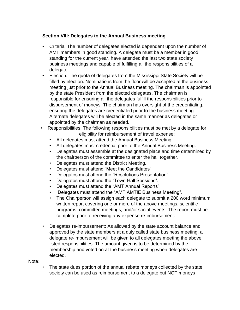## **Section VIII: Delegates to the Annual Business meeting**

- Criteria: The number of delegates elected is dependent upon the number of AMT members in good standing. A delegate must be a member in good standing for the current year, have attended the last two state society business meetings and capable of fulfilling all the responsibilities of a delegate.
- Election: The quota of delegates from the Mississippi State Society will be filled by election. Nominations from the floor will be accepted at the business meeting just prior to the Annual Business meeting. The chairman is appointed by the state President from the elected delegates. The chairman is responsible for ensuring all the delegates fulfill the responsibilities prior to disbursement of moneys. The chairman has oversight of the credentialing, ensuring the delegates are credentialed prior to the business meeting. Alternate delegates will be elected in the same manner as delegates or appointed by the chairman as needed.
- Responsibilities: The following responsibilities must be met by a delegate for eligibility for reimbursement of travel expense:
	- All delegates must attend the Annual Business Meeting.
	- All delegates must credential prior to the Annual Business Meeting.
	- Delegates must assemble at the designated place and time determined by the chairperson of the committee to enter the hall together.
	- Delegates must attend the District Meeting.
	- Delegates must attend "Meet the Candidates".
	- Delegates must attend the "Resolutions Presentation".
	- Delegates must attend the "Town Hall Sessions".
	- Delegates must attend the "AMT Annual Reports".
	- Delegates must attend the "AMT AMTIE Business Meeting".
	- The Chairperson will assign each delegate to submit a 200 word minimum written report covering one or more of the above meetings, scientific programs, committee meetings, and/or social events. The report must be complete prior to receiving any expense re-imbursement.
- Delegates re-imbursement: As allowed by the state account balance and approved by the state members at a duly called state business meeting, a delegate re-imbursement will be given to all delegates meeting the above listed responsibilities. The amount given is to be determined by the membership and voted on at the business meeting when delegates are elected.

Note**:** 

• The state dues portion of the annual rebate moneys collected by the state society can be used as reimbursement to a delegate but NOT moneys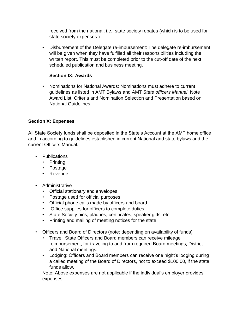received from the national, i.e., state society rebates (which is to be used for state society expenses.)

• Disbursement of the Delegate re-imbursement: The delegate re-imbursement will be given when they have fulfilled all their responsibilities including the written report. This must be completed prior to the cut-off date of the next scheduled publication and business meeting.

## **Section IX: Awards**

• Nominations for National Awards: Nominations must adhere to current guidelines as listed in AMT Bylaws and AMT *State officers Manual*. Note Award List, Criteria and Nomination Selection and Presentation based on National Guidelines.

## **Section X: Expenses**

All State Society funds shall be deposited in the State's Account at the AMT home office and in according to guidelines established in current National and state bylaws and the current Officers Manual.

- Publications
	- Printing
	- Postage
	- Revenue
- Administrative
	- Official stationary and envelopes
	- Postage used for official purposes
	- Official phone calls made by officers and board.
	- Office supplies for officers to complete duties
	- State Society pins, plaques, certificates, speaker gifts, etc.
	- Printing and mailing of meeting notices for the state.
- Officers and Board of Directors (note: depending on availability of funds)
	- Travel: State Officers and Board members can receive mileage reimbursement, for traveling to and from required Board meetings, District and National meetings.
	- Lodging: Officers and Board members can receive one night's lodging during a called meeting of the Board of Directors, not to exceed \$100.00, if the state funds allow.

Note: Above expenses are not applicable if the individual's employer provides expenses.